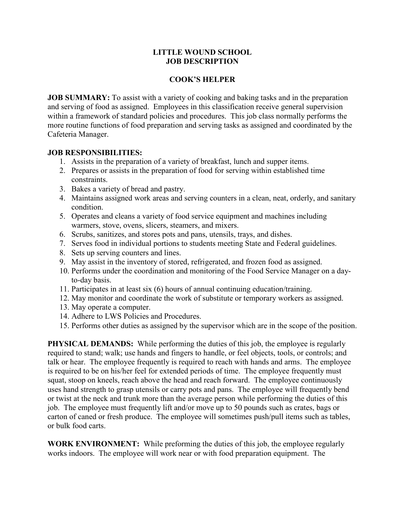#### **LITTLE WOUND SCHOOL JOB DESCRIPTION**

### **COOK'S HELPER**

**JOB SUMMARY:** To assist with a variety of cooking and baking tasks and in the preparation and serving of food as assigned. Employees in this classification receive general supervision within a framework of standard policies and procedures. This job class normally performs the more routine functions of food preparation and serving tasks as assigned and coordinated by the Cafeteria Manager.

### **JOB RESPONSIBILITIES:**

- 1. Assists in the preparation of a variety of breakfast, lunch and supper items.
- 2. Prepares or assists in the preparation of food for serving within established time constraints.
- 3. Bakes a variety of bread and pastry.
- 4. Maintains assigned work areas and serving counters in a clean, neat, orderly, and sanitary condition.
- 5. Operates and cleans a variety of food service equipment and machines including warmers, stove, ovens, slicers, steamers, and mixers.
- 6. Scrubs, sanitizes, and stores pots and pans, utensils, trays, and dishes.
- 7. Serves food in individual portions to students meeting State and Federal guidelines.
- 8. Sets up serving counters and lines.
- 9. May assist in the inventory of stored, refrigerated, and frozen food as assigned.
- 10. Performs under the coordination and monitoring of the Food Service Manager on a dayto-day basis.
- 11. Participates in at least six (6) hours of annual continuing education/training.
- 12. May monitor and coordinate the work of substitute or temporary workers as assigned.
- 13. May operate a computer.
- 14. Adhere to LWS Policies and Procedures.
- 15. Performs other duties as assigned by the supervisor which are in the scope of the position.

**PHYSICAL DEMANDS:** While performing the duties of this job, the employee is regularly required to stand; walk; use hands and fingers to handle, or feel objects, tools, or controls; and talk or hear. The employee frequently is required to reach with hands and arms. The employee is required to be on his/her feel for extended periods of time. The employee frequently must squat, stoop on kneels, reach above the head and reach forward. The employee continuously uses hand strength to grasp utensils or carry pots and pans. The employee will frequently bend or twist at the neck and trunk more than the average person while performing the duties of this job. The employee must frequently lift and/or move up to 50 pounds such as crates, bags or carton of caned or fresh produce. The employee will sometimes push/pull items such as tables, or bulk food carts.

**WORK ENVIRONMENT:** While preforming the duties of this job, the employee regularly works indoors. The employee will work near or with food preparation equipment. The